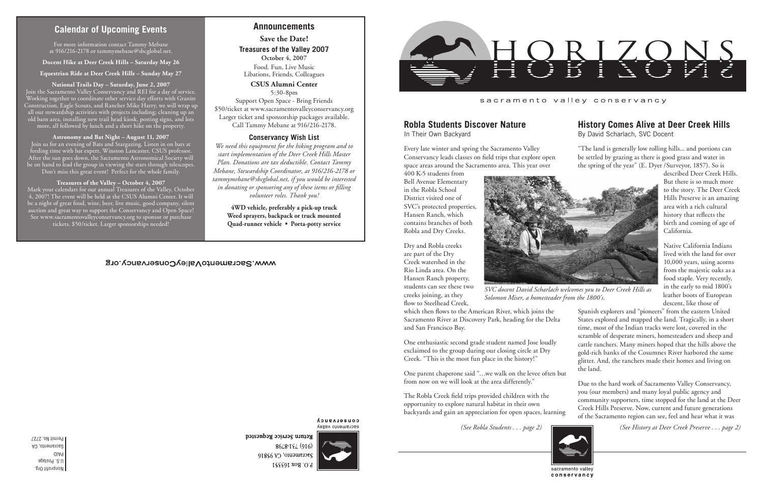Nonprofit Org. U.S. Postage PAID Sacramento, CA Permit No. 2727

### sacramento valley conservancy

# **Calendar of Upcoming Events**

*(See Robla Students . . . page 2) (See History at Deer Creek Preserve . . . page 2)*

# **History Comes Alive at Deer Creek Hills**

By David Scharlach, SVC Docent

"The land is generally low rolling hills... and portions can be settled by grazing as there is good grass and water in the spring of the year" (E. Dyer /Surveyor, 1857). So is

described Deer Creek Hills. But there is so much more to the story. The Deer Creek Hills Preserve is an amazing area with a rich cultural history that reflects the birth and coming of age of California.

Native California Indians lived with the land for over 10,000 years, using acorns from the majestic oaks as a food staple. Very recently, in the early to mid 1800's leather boots of European descent, like those of

Spanish explorers and "pioneers" from the eastern United States explored and mapped the land. Tragically, in a short time, most of the Indian tracks were lost, covered in the scramble of desperate miners, homesteaders and sheep and cattle ranchers. Many miners hoped that the hills above the gold-rich banks of the Cosumnes River harbored the same glitter. And, the ranchers made their homes and living on the land.

Due to the hard work of Sacramento Valley Conservancy, you (our members) and many loyal public agency and community supporters, time stopped for the land at the Deer Creek Hills Preserve. Now, current and future generations of the Sacramento region can see, feel and hear what it was

# **Robla Students Discover Nature**

In Their Own Backyard

Every late winter and spring the Sacramento Valley Conservancy leads classes on field trips that explore open space areas around the Sacramento area. This year over

400 K-5 students from Bell Avenue Elementary in the Robla School District visited one of SVC's protected properties, Hansen Ranch, which contains branches of both Robla and Dry Creeks.

Dry and Robla creeks are part of the Dry Creek watershed in the Rio Linda area. On the Hansen Ranch property, students can see these two creeks joining, as they

flow to Steelhead Creek,

which then flows to the American River, which joins the Sacramento River at Discovery Park, heading for the Delta and San Francisco Bay.

One enthusiastic second grade student named Jose loudly exclaimed to the group during our closing circle at Dry Creek. "This is the most fun place in the history!"

One parent chaperone said "…we walk on the levee often but from now on we will look at the area differently."

The Robla Creek field trips provided children with the opportunity to explore natural habitat in their own backyards and gain an appreciation for open spaces, learning



conservancy

## **Announcements**

**Save the Date!**

**Treasures of the Valley 2007 October 4, 2007**

Food. Fun, Live Music Libations, Friends, Colleagues

**CSUS Alumni Center** 5:30-8pm Support Open Space - Bring Friends \$50/ticket at www.sacramentovalleyconservancy.org Larger ticket and sponsorship packages available.

Call Tammy Mebane at 916/216-2178.

### **Conservancy Wish List**

*We need this equipment for the hiking program and to start implementation of the Deer Creek Hills Master Plan. Donations are tax deductible. Contact Tammy Mebane, Stewardship Coordinator, at 916/216-2178 or tammymebane@sbcglobal.net, if you would be interested in donating or sponsoring any of these items or filling volunteer roles. Thank you!*

> **4WD vehicle, preferably a pick-up truck Weed sprayers, backpack or truck mounted Quad-runner vehicle • Porta-potty service**

## WWW.SacramentoValleyConservancy.org

**COUSELASUCA** sacramento valley

Return Service Requested 8648-184 (916) Sacramento, CA 95816 P.O. Box 163551



For more information contact Tammy Mebane at 916/216-2178 or tammymebane@sbcglobal.net.

**Docent Hike at Deer Creek Hills – Saturday May 26**

**Equestrian Ride at Deer Creek Hills – Sunday May 27**

**National Trails Day – Saturday, June 2, 2007** Join the Sacramento Valley Conservancy and REI for a day of service. Working together to coordinate other service day efforts with Granite Construction, Eagle Scouts, and Rancher Mike Harry, we will wrap up all our stewardship activities with projects including; cleaning up an old barn area, installing new trail head kiosk, posting signs, and lots more, all followed by lunch and a short hike on the property.

**Astronomy and Bat Night – August 11, 2007** Join us for an evening of Bats and Stargazing. Listen in on bats at feeding time with bat expert, Winston Lancaster, CSUS professor. After the sun goes down, the Sacramento Astronomical Society will be on hand to lead the group in viewing the stars through telescopes. Don't miss this great event! Perfect for the whole family.

#### **Treasures of the Valley – October 4, 2007**

Mark your calendars for our annual Treasures of the Valley, October 4, 2007! The event will be held at the CSUS Alumni Center. It will be a night of great food, wine, beer, live music, good company, silent auction and great way to support the Conservancy and Open Space! See www.sacramentovalleyconservancy.org to sponsor or purchase tickets. \$50/ticket. Larger sponsorships needed!



*SVC docent David Scharlach welcomes you to Deer Creek Hills as Solomon Miser, a homesteader from the 1800's.*